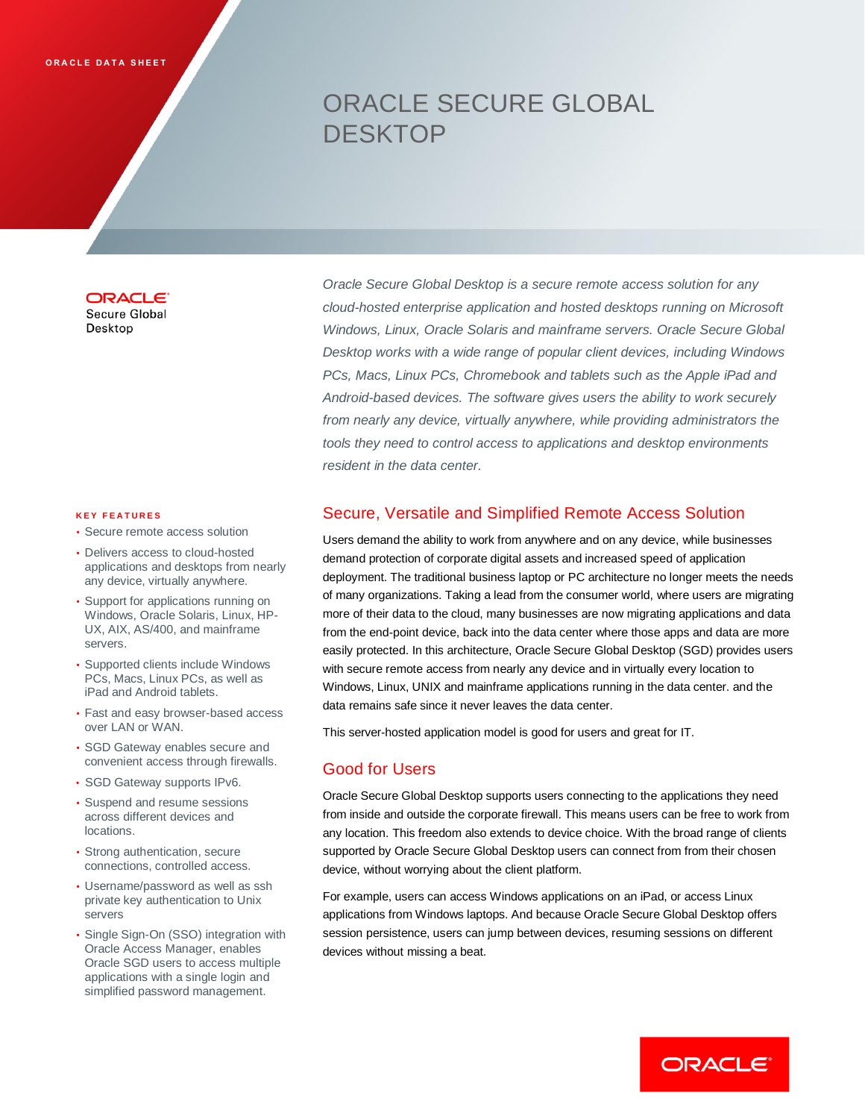# ORACLE SECURE GLOBAL DESKTOP

**ORACLE** Secure Global

Desktop

#### **K E Y F E A T U R E S**

- Secure remote access solution
- Delivers access to cloud-hosted applications and desktops from nearly any device, virtually anywhere.
- Support for applications running on Windows, Oracle Solaris, Linux, HP-UX, AIX, AS/400, and mainframe servers.
- Supported clients include Windows PCs, Macs, Linux PCs, as well as iPad and Android tablets.
- Fast and easy browser-based access over LAN or WAN.
- SGD Gateway enables secure and convenient access through firewalls.
- SGD Gateway supports IPv6.
- Suspend and resume sessions across different devices and locations.
- Strong authentication, secure connections, controlled access.
- Username/password as well as ssh private key authentication to Unix servers
- Single Sign-On (SSO) integration with Oracle Access Manager, enables Oracle SGD users to access multiple applications with a single login and simplified password management.

*Oracle Secure Global Desktop is a secure remote access solution for any cloud-hosted enterprise application and hosted desktops running on Microsoft Windows, Linux, Oracle Solaris and mainframe servers. Oracle Secure Global Desktop works with a wide range of popular client devices, including Windows PCs, Macs, Linux PCs, Chromebook and tablets such as the Apple iPad and Android-based devices. The software gives users the ability to work securely from nearly any device, virtually anywhere, while providing administrators the tools they need to control access to applications and desktop environments resident in the data center.* 

## Secure, Versatile and Simplified Remote Access Solution

Users demand the ability to work from anywhere and on any device, while businesses demand protection of corporate digital assets and increased speed of application deployment. The traditional business laptop or PC architecture no longer meets the needs of many organizations. Taking a lead from the consumer world, where users are migrating more of their data to the cloud, many businesses are now migrating applications and data from the end-point device, back into the data center where those apps and data are more easily protected. In this architecture, Oracle Secure Global Desktop (SGD) provides users with secure remote access from nearly any device and in virtually every location to Windows, Linux, UNIX and mainframe applications running in the data center. and the data remains safe since it never leaves the data center.

This server-hosted application model is good for users and great for IT.

# Good for Users

Oracle Secure Global Desktop supports users connecting to the applications they need from inside and outside the corporate firewall. This means users can be free to work from any location. This freedom also extends to device choice. With the broad range of clients supported by Oracle Secure Global Desktop users can connect from from their chosen device, without worrying about the client platform.

For example, users can access Windows applications on an iPad, or access Linux applications from Windows laptops. And because Oracle Secure Global Desktop offers session persistence, users can jump between devices, resuming sessions on different devices without missing a beat.

ORACLE<sup>®</sup>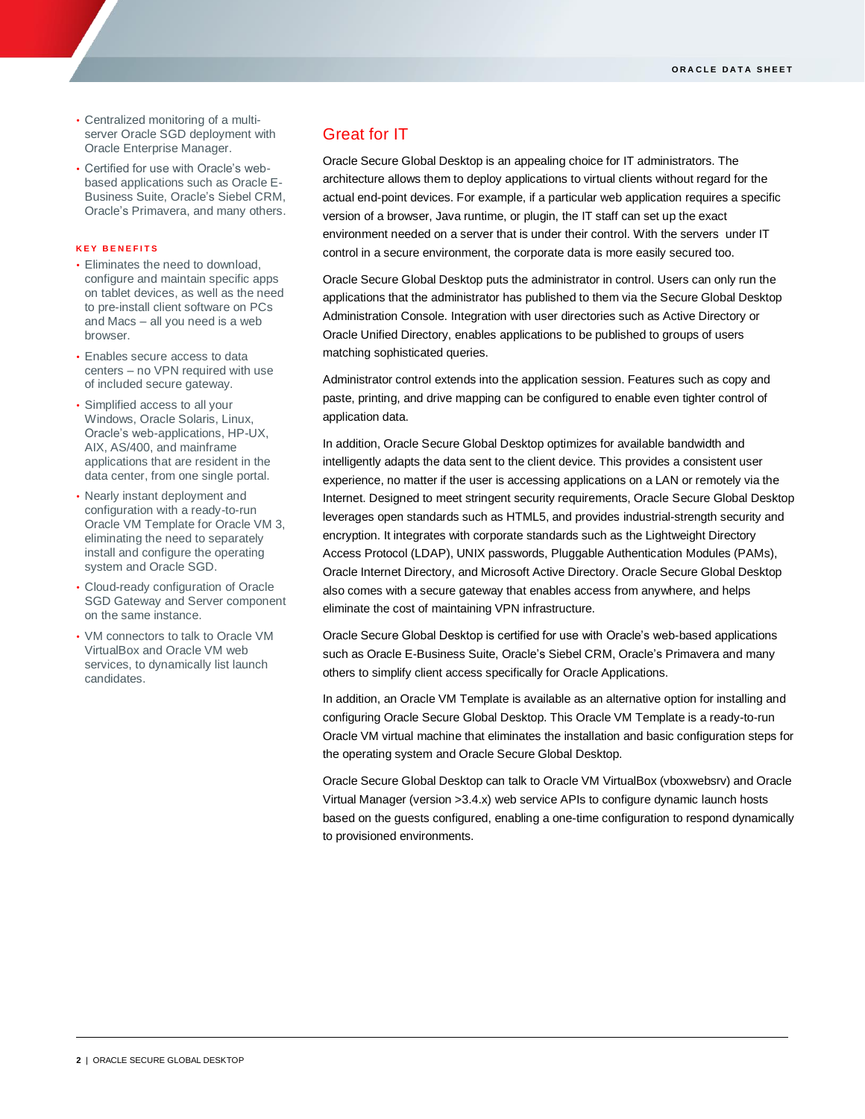- Centralized monitoring of a multiserver Oracle SGD deployment with Oracle Enterprise Manager.
- Certified for use with Oracle's webbased applications such as Oracle E-Business Suite, Oracle's Siebel CRM, Oracle's Primavera, and many others.

#### **K E Y B E N E F I T S**

- Eliminates the need to download, configure and maintain specific apps on tablet devices, as well as the need to pre-install client software on PCs and Macs – all you need is a web browser.
- Enables secure access to data centers – no VPN required with use of included secure gateway.
- Simplified access to all your Windows, Oracle Solaris, Linux, Oracle's web-applications, HP-UX, AIX, AS/400, and mainframe applications that are resident in the data center, from one single portal.
- Nearly instant deployment and configuration with a ready-to-run Oracle VM Template for Oracle VM 3, eliminating the need to separately install and configure the operating system and Oracle SGD.
- Cloud-ready configuration of Oracle SGD Gateway and Server component on the same instance.
- VM connectors to talk to Oracle VM VirtualBox and Oracle VM web services, to dynamically list launch candidates.

# Great for IT

Oracle Secure Global Desktop is an appealing choice for IT administrators. The architecture allows them to deploy applications to virtual clients without regard for the actual end-point devices. For example, if a particular web application requires a specific version of a browser, Java runtime, or plugin, the IT staff can set up the exact environment needed on a server that is under their control. With the servers under IT control in a secure environment, the corporate data is more easily secured too.

Oracle Secure Global Desktop puts the administrator in control. Users can only run the applications that the administrator has published to them via the Secure Global Desktop Administration Console. Integration with user directories such as Active Directory or Oracle Unified Directory, enables applications to be published to groups of users matching sophisticated queries.

Administrator control extends into the application session. Features such as copy and paste, printing, and drive mapping can be configured to enable even tighter control of application data.

In addition, Oracle Secure Global Desktop optimizes for available bandwidth and intelligently adapts the data sent to the client device. This provides a consistent user experience, no matter if the user is accessing applications on a LAN or remotely via the Internet. Designed to meet stringent security requirements, Oracle Secure Global Desktop leverages open standards such as HTML5, and provides industrial-strength security and encryption. It integrates with corporate standards such as the Lightweight Directory Access Protocol (LDAP), UNIX passwords, Pluggable Authentication Modules (PAMs), Oracle Internet Directory, and Microsoft Active Directory. Oracle Secure Global Desktop also comes with a secure gateway that enables access from anywhere, and helps eliminate the cost of maintaining VPN infrastructure.

Oracle Secure Global Desktop is certified for use with Oracle's web-based applications such as Oracle E-Business Suite, Oracle's Siebel CRM, Oracle's Primavera and many others to simplify client access specifically for Oracle Applications.

In addition, an Oracle VM Template is available as an alternative option for installing and configuring Oracle Secure Global Desktop. This Oracle VM Template is a ready-to-run Oracle VM virtual machine that eliminates the installation and basic configuration steps for the operating system and Oracle Secure Global Desktop.

Oracle Secure Global Desktop can talk to Oracle VM VirtualBox (vboxwebsrv) and Oracle Virtual Manager (version >3.4.x) web service APIs to configure dynamic launch hosts based on the guests configured, enabling a one-time configuration to respond dynamically to provisioned environments.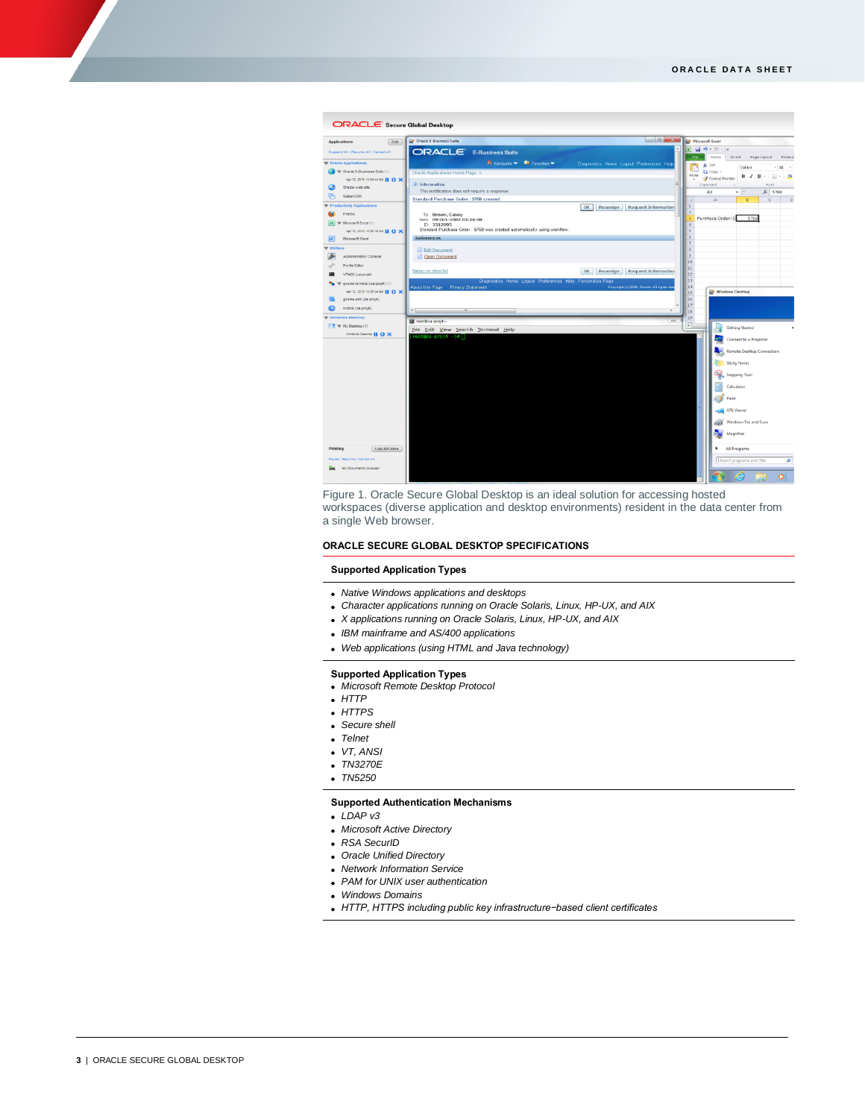

Figure 1. Oracle Secure Global Desktop is an ideal solution for accessing hosted workspaces (diverse application and desktop environments) resident in the data center from a single Web browser.

#### **ORACLE SECURE GLOBAL DESKTOP SPECIFICATIONS**

#### **Supported Application Types**

- *Native Windows applications and desktops*
- *Character applications running on Oracle Solaris, Linux, HP-UX, and AIX*
- *X applications running on Oracle Solaris, Linux, HP-UX, and AIX*
- *IBM mainframe and AS/400 applications*
- *Web applications (using HTML and Java technology)*

#### **Supported Application Types**

- *Microsoft Remote Desktop Protocol*
- *HTTP*
- *HTTPS*
- *Secure shell*
- *Telnet*
- *VT, ANSI*
- *TN3270E*
- *TN5250*
- 

#### **Supported Authentication Mechanisms**

- *LDAP v3*
- *Microsoft Active Directory*
- *RSA SecurID*
- *Oracle Unified Directory*
- *Network Information Service*
- *PAM for UNIX user authentication*
- *Windows Domains*
- *HTTP, HTTPS including public key infrastructure−based client certificates*